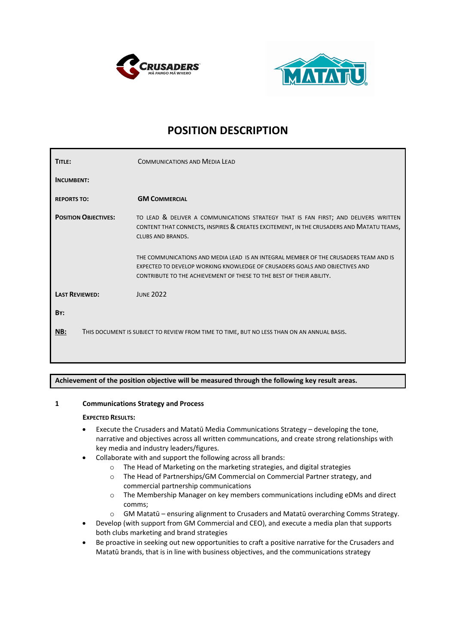



# **POSITION DESCRIPTION**

| TITLE:                                                                                            | <b>COMMUNICATIONS AND MEDIA LEAD</b>                                                                                                                                                                                                        |
|---------------------------------------------------------------------------------------------------|---------------------------------------------------------------------------------------------------------------------------------------------------------------------------------------------------------------------------------------------|
| <b>INCUMBENT:</b>                                                                                 |                                                                                                                                                                                                                                             |
| <b>REPORTS TO:</b>                                                                                | <b>GM COMMERCIAL</b>                                                                                                                                                                                                                        |
| <b>POSITION OBJECTIVES:</b>                                                                       | TO LEAD & DELIVER A COMMUNICATIONS STRATEGY THAT IS FAN FIRST; AND DELIVERS WRITTEN<br>CONTENT THAT CONNECTS, INSPIRES & CREATES EXCITEMENT, IN THE CRUSADERS AND MATATU TEAMS,<br><b>CLUBS AND BRANDS.</b>                                 |
|                                                                                                   | THE COMMUNICATIONS AND MEDIA LEAD IS AN INTEGRAL MEMBER OF THE CRUSADERS TEAM AND IS<br>EXPECTED TO DEVELOP WORKING KNOWLEDGE OF CRUSADERS GOALS AND OBJECTIVES AND<br>CONTRIBUTE TO THE ACHIEVEMENT OF THESE TO THE BEST OF THEIR ABILITY. |
| <b>LAST REVIEWED:</b>                                                                             | <b>JUNE 2022</b>                                                                                                                                                                                                                            |
| BY:                                                                                               |                                                                                                                                                                                                                                             |
| NB:<br>THIS DOCUMENT IS SUBJECT TO REVIEW FROM TIME TO TIME, BUT NO LESS THAN ON AN ANNUAL BASIS. |                                                                                                                                                                                                                                             |

**Achievement of the position objective will be measured through the following key result areas.** 

# **1 Communications Strategy and Process**

#### **EXPECTED RESULTS:**

- Execute the Crusaders and Matatū Media Communications Strategy developing the tone, narrative and objectives across all written communcations, and create strong relationships with key media and industry leaders/figures.
- Collaborate with and support the following across all brands:
	- o The Head of Marketing on the marketing strategies, and digital strategies
	- o The Head of Partnerships/GM Commercial on Commercial Partner strategy, and commercial partnership communications
	- o The Membership Manager on key members communications including eDMs and direct comms;
	- o GM Matatū ensuring alignment to Crusaders and Matatū overarching Comms Strategy.
- Develop (with support from GM Commercial and CEO), and execute a media plan that supports both clubs marketing and brand strategies
- Be proactive in seeking out new opportunities to craft a positive narrative for the Crusaders and Matatū brands, that is in line with business objectives, and the communications strategy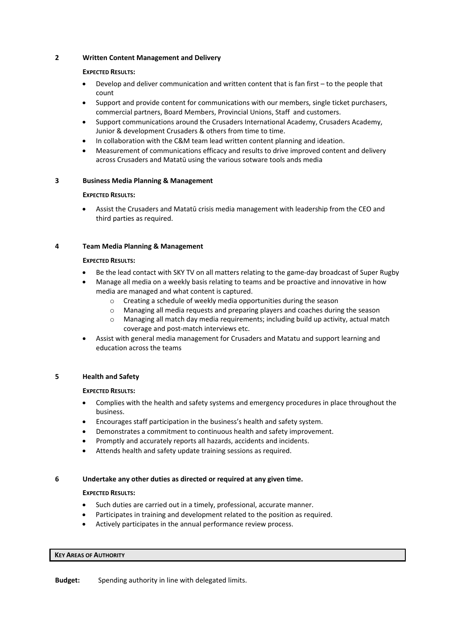## **2 Written Content Management and Delivery**

#### **EXPECTED RESULTS:**

- Develop and deliver communication and written content that is fan first to the people that count
- Support and provide content for communications with our members, single ticket purchasers, commercial partners, Board Members, Provincial Unions, Staff and customers.
- Support communications around the Crusaders International Academy, Crusaders Academy, Junior & development Crusaders & others from time to time.
- In collaboration with the C&M team lead written content planning and ideation.
- Measurement of communications efficacy and results to drive improved content and delivery across Crusaders and Matatū using the various sotware tools ands media

#### **3 Business Media Planning & Management**

#### **EXPECTED RESULTS:**

• Assist the Crusaders and Matatū crisis media management with leadership from the CEO and third parties as required.

## **4 Team Media Planning & Management**

#### **EXPECTED RESULTS:**

- Be the lead contact with SKY TV on all matters relating to the game-day broadcast of Super Rugby
- Manage all media on a weekly basis relating to teams and be proactive and innovative in how media are managed and what content is captured.
	- o Creating a schedule of weekly media opportunities during the season
	- o Managing all media requests and preparing players and coaches during the season
	- o Managing all match day media requirements; including build up activity, actual match coverage and post-match interviews etc.
- Assist with general media management for Crusaders and Matatu and support learning and education across the teams

# **5 Health and Safety**

#### **EXPECTED RESULTS:**

- Complies with the health and safety systems and emergency procedures in place throughout the business.
- Encourages staff participation in the business's health and safety system.
- Demonstrates a commitment to continuous health and safety improvement.
- Promptly and accurately reports all hazards, accidents and incidents.
- Attends health and safety update training sessions as required.

#### **6 Undertake any other duties as directed or required at any given time.**

#### **EXPECTED RESULTS:**

- Such duties are carried out in a timely, professional, accurate manner.
- Participates in training and development related to the position as required.
- Actively participates in the annual performance review process.

#### **KEY AREAS OF AUTHORITY**

**Budget:** Spending authority in line with delegated limits.